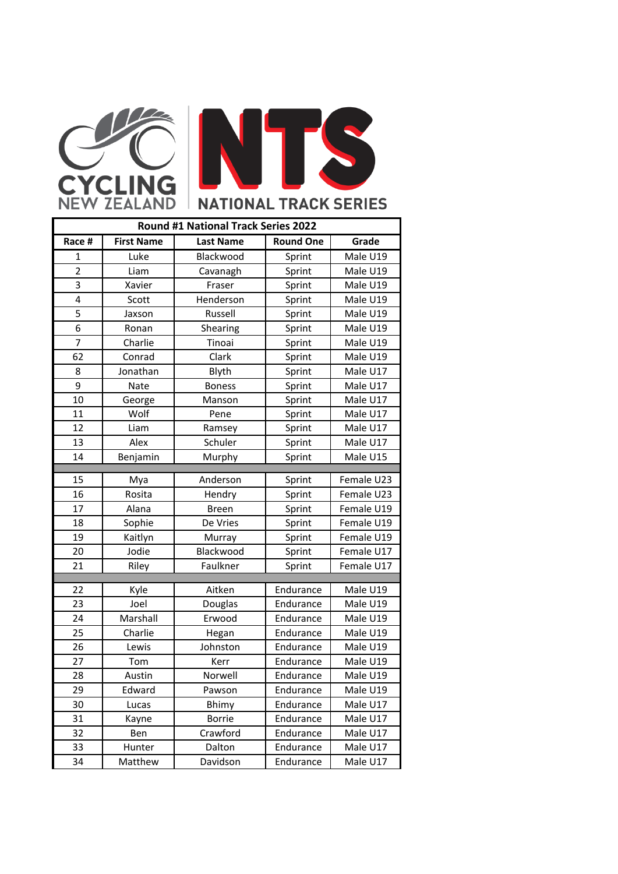

| Round #1 National Track Series 2022 |                   |                  |                  |            |  |  |
|-------------------------------------|-------------------|------------------|------------------|------------|--|--|
| Race #                              | <b>First Name</b> | <b>Last Name</b> | <b>Round One</b> | Grade      |  |  |
| 1                                   | Luke              | Blackwood        | Sprint           | Male U19   |  |  |
| $\overline{2}$                      | Liam              | Cavanagh         | Sprint           | Male U19   |  |  |
| 3                                   | Xavier            | Fraser           | Sprint           | Male U19   |  |  |
| 4                                   | Scott             | Henderson        | Sprint           | Male U19   |  |  |
| 5                                   | Jaxson            | Russell          | Sprint           | Male U19   |  |  |
| 6                                   | Ronan             | Shearing         | Sprint           | Male U19   |  |  |
| $\overline{7}$                      | Charlie           | Tinoai           | Sprint           | Male U19   |  |  |
| 62                                  | Conrad            | Clark            | Sprint           | Male U19   |  |  |
| 8                                   | Jonathan          | Blyth            | Sprint           | Male U17   |  |  |
| 9                                   | Nate              | <b>Boness</b>    | Sprint           | Male U17   |  |  |
| 10                                  | George            | Manson           | Sprint           | Male U17   |  |  |
| 11                                  | Wolf              | Pene             | Sprint           | Male U17   |  |  |
| 12                                  | Liam              | Ramsey           | Sprint           | Male U17   |  |  |
| 13                                  | Alex              | Schuler          | Sprint           | Male U17   |  |  |
| 14                                  | Benjamin          | Murphy           | Sprint           | Male U15   |  |  |
| 15                                  | Mya               | Anderson         | Sprint           | Female U23 |  |  |
| 16                                  | Rosita            | Hendry           | Sprint           | Female U23 |  |  |
| 17                                  | Alana             | <b>Breen</b>     | Sprint           | Female U19 |  |  |
| 18                                  | Sophie            | De Vries         | Sprint           | Female U19 |  |  |
| 19                                  | Kaitlyn           | Murray           | Sprint           | Female U19 |  |  |
| 20                                  | Jodie             | Blackwood        | Sprint           | Female U17 |  |  |
| 21                                  | Riley             | Faulkner         | Sprint           | Female U17 |  |  |
|                                     |                   |                  |                  |            |  |  |
| 22                                  | Kyle              | Aitken           | Endurance        | Male U19   |  |  |
| 23                                  | Joel              | Douglas          | Endurance        | Male U19   |  |  |
| 24                                  | Marshall          | Erwood           | Endurance        | Male U19   |  |  |
| 25                                  | Charlie           | Hegan            | Endurance        | Male U19   |  |  |
| 26                                  | Lewis             | Johnston         | Endurance        | Male U19   |  |  |
| 27                                  | Tom               | Kerr             | Endurance        | Male U19   |  |  |
| 28                                  | Austin            | Norwell          | Endurance        | Male U19   |  |  |
| 29                                  | Edward            | Pawson           | Endurance        | Male U19   |  |  |
| 30                                  | Lucas             | Bhimy            | Endurance        | Male U17   |  |  |
| 31                                  | Kayne             | <b>Borrie</b>    | Endurance        | Male U17   |  |  |
| 32                                  | Ben               | Crawford         | Endurance        | Male U17   |  |  |
| 33                                  | Hunter            | Dalton           | Endurance        | Male U17   |  |  |
| 34                                  | Matthew           | Davidson         | Endurance        | Male U17   |  |  |